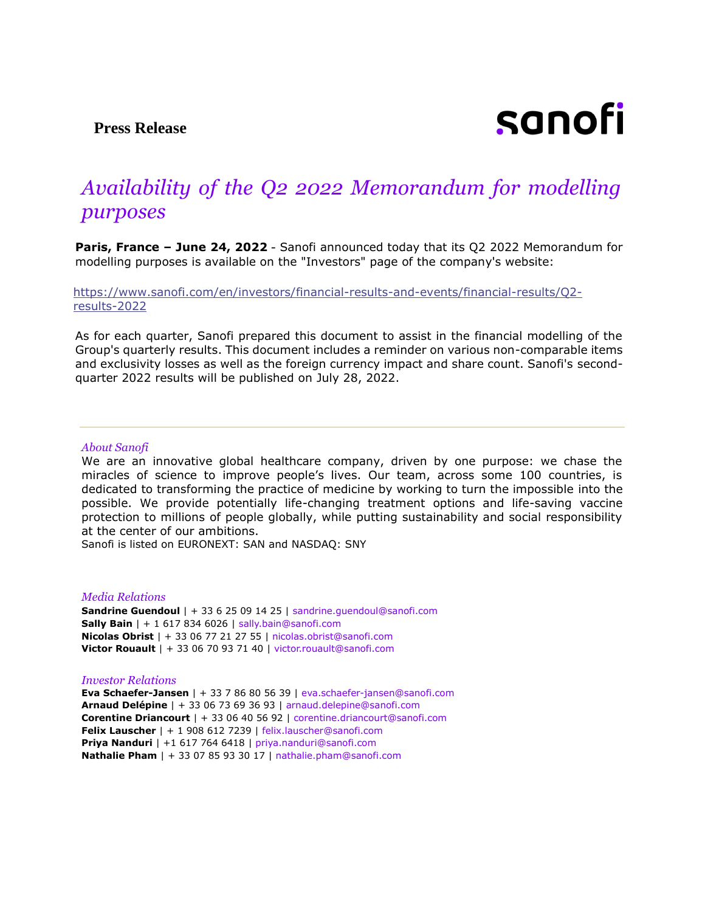**Press Release**

# sanofi

## *Availability of the Q2 2022 Memorandum for modelling purposes*

**Paris, France – June 24, 2022** - Sanofi announced today that its Q2 2022 Memorandum for modelling purposes is available on the "Investors" page of the company's website:

[https://www.sanofi.com/en/investors/financial-results-and-events/financial-results/Q2](https://www.sanofi.com/en/investors/financial-results-and-events/financial-results/Q2-results-2022) [results-2022](https://www.sanofi.com/en/investors/financial-results-and-events/financial-results/Q2-results-2022)

As for each quarter, Sanofi prepared this document to assist in the financial modelling of the Group's quarterly results. This document includes a reminder on various non-comparable items and exclusivity losses as well as the foreign currency impact and share count. Sanofi's secondquarter 2022 results will be published on July 28, 2022.

#### *About Sanofi*

We are an innovative global healthcare company, driven by one purpose: we chase the miracles of science to improve people's lives. Our team, across some 100 countries, is dedicated to transforming the practice of medicine by working to turn the impossible into the possible. We provide potentially life-changing treatment options and life-saving vaccine protection to millions of people globally, while putting sustainability and social responsibility at the center of our ambitions.

Sanofi is listed on EURONEXT: SAN and NASDAQ: SNY

### *Media Relations*

**Sandrine Guendoul** | + 33 6 25 09 14 25 | sandrine.guendoul@sanofi.com **Sally Bain** | + 1 617 834 6026 | sally.bain@sanofi.com **Nicolas Obrist** | + 33 06 77 21 27 55 | nicolas.obrist@sanofi.com **Victor Rouault** | + 33 06 70 93 71 40 | victor.rouault@sanofi.com

#### *Investor Relations*

**Eva Schaefer-Jansen** | + 33 7 86 80 56 39 | eva.schaefer-jansen@sanofi.com **Arnaud Delépine** | + 33 06 73 69 36 93 | arnaud.delepine@sanofi.com **Corentine Driancourt** | + 33 06 40 56 92 | corentine.driancourt@sanofi.com **Felix Lauscher** | + 1 908 612 7239 | felix.lauscher@sanofi.com **Priya Nanduri** | +1 617 764 6418 | priya.nanduri@sanofi.com **Nathalie Pham** | + 33 07 85 93 30 17 | nathalie.pham@sanofi.com